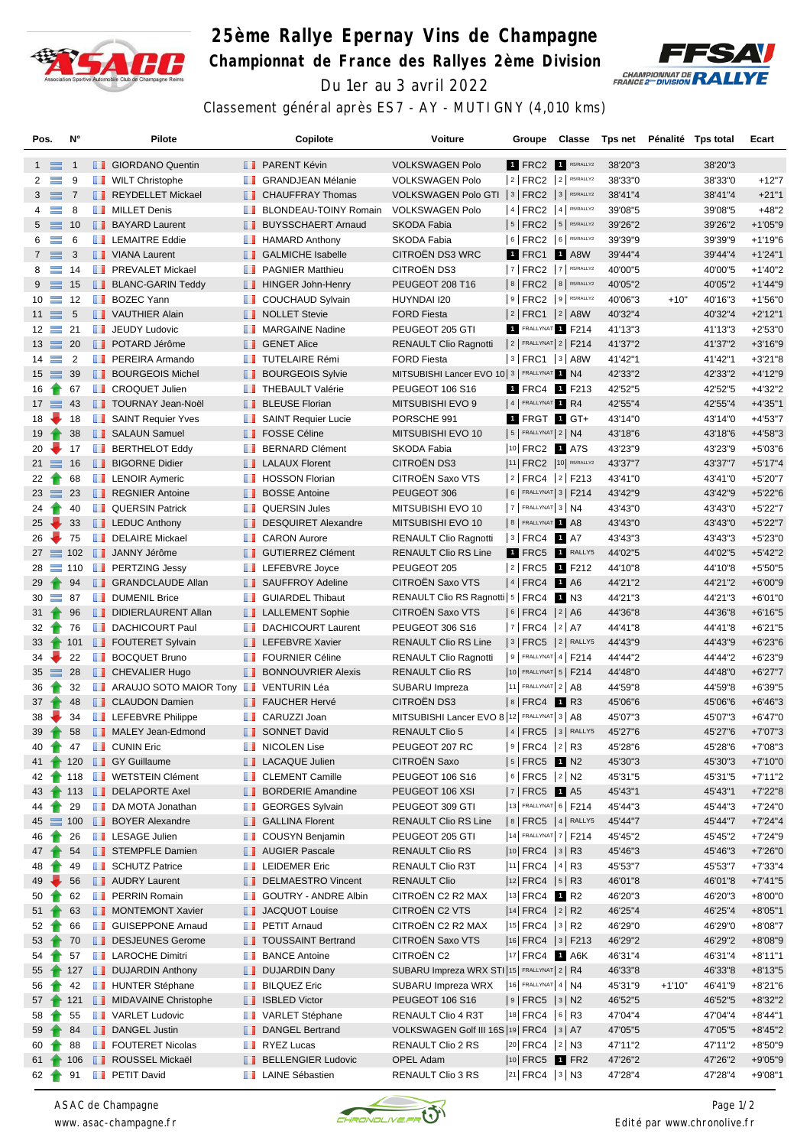

## **25ème Rallye Epernay Vins de Champagne Championnat de France des Rallyes 2ème Division** Du 1er au 3 avril 2022



Classement général après ES7 - AY - MUTIGNY (4,010 kms)

| Pos.            |                  | N°              |     | Pilote                                |   | Copilote                     | Voiture                                         | Groupe                      | Classe   | Tps net |          | Pénalité Tps total | Ecart      |
|-----------------|------------------|-----------------|-----|---------------------------------------|---|------------------------------|-------------------------------------------------|-----------------------------|----------|---------|----------|--------------------|------------|
|                 | $1 \equiv$       | -1              |     | <b>B</b> GIORDANO Quentin             |   | <b>B</b> PARENT Kévin        | <b>VOLKSWAGEN Polo</b>                          | 1 FRC2 1 R5/RALLY2          |          | 38'20"3 |          | 38'20"3            |            |
| 2               | $\equiv$         | 9               |     | <b>WILT Christophe</b>                |   | <b>B</b> GRANDJEAN Mélanie   | <b>VOLKSWAGEN Polo</b>                          | $ 2 $ FRC2 $ 2 $ R5/RALLY2  |          | 38'33"0 |          | 38'33"0            | $+12"7$    |
| 3               | $\equiv$ 7       |                 |     | REYDELLET Mickael                     |   | <b>CHAUFFRAY Thomas</b>      | VOLKSWAGEN Polo GTI   3   FRC2   3   R5/RALLY2  |                             |          | 38'41"4 |          | 38'41"4            | $+21"1$    |
| 4               | $\equiv$         | 8               | w   | <b>MILLET Denis</b>                   | ш | <b>BLONDEAU-TOINY Romain</b> | <b>VOLKSWAGEN Polo</b>                          | $ 4 $ FRC2 $ 4 $ R5/RALLY2  |          | 39'08"5 |          | 39'08"5            | $+48"2$    |
| 5 <sub>5</sub>  | $\equiv$         | 10              |     | <b>BAYARD Laurent</b>                 |   | <b>BUYSSCHAERT Arnaud</b>    | <b>SKODA Fabia</b>                              | $ 5 $ FRC2 $ 5 $ R5/RALLY2  |          | 39'26"2 |          | 39'26"2            | $+1'05"9$  |
| 6               | $\equiv$         | 6               |     | <b>LEMAITRE Eddie</b>                 |   | <b>B</b> HAMARD Anthony      | SKODA Fabia                                     | 6   FRC2   6   R5/RALLY2    |          | 39'39"9 |          | 39'39"9            | $+1'19'6$  |
|                 | $7 \equiv$       | 3               |     | VIANA Laurent                         |   | <b>B</b> GALMICHE Isabelle   | <b>CITROEN DS3 WRC</b>                          | 1 FRC1                      | $1$ A8W  | 39'44"4 |          | 39'44"4            | $+1'24"1$  |
| 8               | $\equiv$         | 14              |     | <b>FREVALET Mickael</b>               |   | <b>FRAGNIER Matthieu</b>     | CITROËN DS3                                     | 7   FRC2   7   R5/RALLY2    |          | 40'00"5 |          | 40'00"5            | $+1'40''2$ |
| 9               | $\equiv$         | 15              |     | <b>BLANC-GARIN Teddy</b>              |   | HINGER John-Henry            | PEUGEOT 208 T16                                 | 8   FRC2   8   R5/RALLY2    |          | 40'05"2 |          | 40'05"2            | $+1'44''9$ |
| 10              | $\equiv$         | 12              |     | <b>BOZEC Yann</b>                     | ш | <b>COUCHAUD Sylvain</b>      | HUYNDAI I20                                     | $ 9 $ FRC2 $ 9 $ R5/RALLY2  |          | 40'06"3 | $+10"$   | 40'16"3            | $+1'56"0$  |
|                 | $11 \equiv$      | $\sqrt{5}$      |     | VAUTHIER Alain                        |   | <b>NOLLET</b> Stevie         | <b>FORD Fiesta</b>                              | $ 2 $ FRC1 $ 2 $ A8W        |          | 40'32"4 |          | 40'32"4            | $+2'12"1$  |
|                 | $12 \equiv$      | 21              |     | <b>T</b> JEUDY Ludovic                |   | <b>T</b> MARGAINE Nadine     | PEUGEOT 205 GTI                                 | FRALLYNAT <sub>1</sub> F214 |          | 41'13"3 |          | 41'13"3            | $+2'53''0$ |
|                 | $13 \equiv$      | 20              |     | <b>POTARD Jérôme</b>                  |   | <b>B</b> GENET Alice         | <b>RENAULT Clio Ragnotti</b>                    | $ 2 $ FRALLYNAT $ 2 $ F214  |          | 41'37"2 |          | 41'37"2            | $+3'16''9$ |
|                 | $14 \equiv$      | $\overline{2}$  | w   | PEREIRA Armando                       |   | <b>TUTELAIRE Rémi</b>        | <b>FORD Fiesta</b>                              | $ 3 $ FRC1 $ 3 $ A8W        |          | 41'42"1 |          | 41'42"1            | $+3'21"8$  |
|                 | $15 \equiv$      | 39              |     | <b>BOURGEOIS Michel</b>               |   | <b>BOURGEOIS Sylvie</b>      | MITSUBISHI Lancer EVO 10 3   FRALLYNAT 1 N4     |                             |          | 42'33"2 |          | 42'33"2            | $+4'12''9$ |
| 16              | €                | 67              | ш   | <b>CROQUET Julien</b>                 | ш | <b>THEBAULT Valérie</b>      | <b>PEUGEOT 106 S16</b>                          | 1 FRC4 1 F213               |          | 42'52"5 |          | 42'52"5            | $+4'32"2$  |
|                 | $17 \equiv 43$   |                 |     | <b>TOURNAY Jean-Noël</b>              |   | <b>BLEUSE Florian</b>        | <b>MITSUBISHI EVO 9</b>                         | 4 FRALLYNAT 1 R4            |          | 42'55"4 |          | 42'55"4            | $+4'35"1$  |
| 18              | ₩                | 18              |     | SAINT Requier Yves                    |   | SAINT Requier Lucie          | PORSCHE 991                                     | 1 FRGT 1 GT+                |          | 43'14"0 |          | 43'14"0            | $+4'53''7$ |
| 19              |                  | 38              |     | SALAUN Samuel                         |   | <b>FOSSE Céline</b>          | MITSUBISHI EVO 10                               | $ 5 $ Frallynat $ 2 $ N4    |          | 43'18"6 |          | 43'18"6            | $+4'58''3$ |
| 20              |                  | 17              |     | <b>BERTHELOT Eddy</b>                 |   | <b>BERNARD Clément</b>       | <b>SKODA Fabia</b>                              | 10 FRC2 1 A7S               |          | 43'23"9 |          | 43'23"9            | $+5'03''6$ |
|                 | $21 \equiv$      | 16              |     | <b>BIGORNE Didier</b>                 |   | <b>LALAUX Florent</b>        | CITROËN DS3                                     | 11 FRC2 10 R5/RALLY2        |          | 43'37"7 |          | 43'37"7            | $+5'17''4$ |
| 22              | Ŧ                | 68              | ш   | <b>LENOIR Aymeric</b>                 | ш | <b>HOSSON Florian</b>        | CITROËN Saxo VTS                                | 2  FRC4  2  F213            |          | 43'41"0 |          | 43'41"0            | $+5'20"7$  |
|                 | $23 \equiv$      | 23              |     | <b>REGNIER Antoine</b>                |   | <b>BOSSE Antoine</b>         | PEUGEOT 306                                     | 6   FRALLYNAT 3   F214      |          | 43'42"9 |          | 43'42"9            | $+5'22"6$  |
| 24              |                  | 40              |     | <b>QUERSIN Patrick</b>                |   | <b>QUERSIN Jules</b>         | MITSUBISHI EVO 10                               | $ 7 $ Frallynat $ 3 $ N4    |          | 43'43"0 |          | 43'43"0            | $+5'22"7$  |
| 25              |                  | 33              |     | <b>LEDUC Anthony</b>                  |   | DESQUIRET Alexandre          | MITSUBISHI EVO 10                               | 8 FRALLYNAT 1 A8            |          | 43'43"0 |          | 43'43"0            | $+5'22"7$  |
| 26              |                  | 75              |     | DELAIRE Mickael                       |   | <b>CARON Aurore</b>          | <b>RENAULT Clio Ragnotti</b>                    | $ 3 $ FRC4 1 A7             |          | 43'43"3 |          | 43'43"3            | $+5'23"0$  |
|                 |                  | $27 \equiv 102$ |     | <b>JANNY Jérôme</b>                   |   | <b>GUTIERREZ Clément</b>     | <b>RENAULT Clio RS Line</b>                     | 1 FRC5                      | 1 RALLY5 | 44'02"5 |          | 44'02"5            | $+5'42"2$  |
| 28              |                  | $\equiv$ 110    |     | <b>PERTZING Jessy</b>                 |   | <b>LEFEBVRE</b> Joyce        | PEUGEOT 205                                     | $ 2 $ FRC5 1 F212           |          | 44'10"8 |          | 44'10"8            | $+5'50"5$  |
| 29              |                  | 94              |     | <b>B</b> GRANDCLAUDE Allan            |   | <b>B</b> SAUFFROY Adeline    | <b>CITROEN Saxo VTS</b>                         | $ 4 $ FRC4 1 A6             |          | 44'21"2 |          | 44'21"2            | $+6'00"9$  |
| 30              | $\equiv$         | 87              |     | <b>DUMENIL Brice</b>                  |   | <b>GUIARDEL Thibaut</b>      | RENAULT Clio RS Ragnotti 5   FRC4 1 N3          |                             |          | 44'21"3 |          | 44'21"3            | $+6'01"0$  |
| 31              |                  | 96              |     | DIDIERLAURENT Allan                   |   | <b>LALLEMENT Sophie</b>      | <b>CITROEN Saxo VTS</b>                         | $ 6 $ FRC4 $ 2 $ A6         |          | 44'36"8 |          | 44'36"8            | $+6'16"5$  |
| 32              |                  | 76              |     | <b>DACHICOURT Paul</b>                |   | <b>DACHICOURT Laurent</b>    | PEUGEOT 306 S16                                 | $ 7 $ FRC4 $ 2 $ A7         |          | 44'41"8 |          | 44'41"8            | $+6'21"5$  |
| 33              | $\bullet$        | 101             |     | FOUTERET Sylvain                      |   | <b>LEFEBVRE Xavier</b>       | <b>RENAULT Clio RS Line</b>                     | $ 3 $ FRC5 $ 2 $ RALLY5     |          | 44'43"9 |          | 44'43"9            | $+6'23''6$ |
| 34              |                  | 22              | n a | <b>BOCQUET Bruno</b>                  |   | <b>TE</b> FOURNIER Céline    | <b>RENAULT Clio Ragnotti</b>                    | $ 9 $ FRALLYNAT 4   F214    |          | 44'44"2 |          | 44'44"2            | $+6'23''9$ |
|                 | $35 \equiv$      | 28              |     | <b>CHEVALIER Hugo</b>                 |   | <b>BONNOUVRIER Alexis</b>    | <b>RENAULT Clio RS</b>                          | 10 FRALLYNAT 5   F214       |          | 44'48"0 |          | 44'48"0            | $+6'27"7$  |
| 36              |                  | 32              | ш   | ARAUJO SOTO MAIOR Tony I VENTURIN Léa |   |                              | SUBARU Impreza                                  | 11 FRALLYNAT $2$ A8         |          | 44'59"8 |          | 44'59"8            | $+6'39"5$  |
| 37              |                  | 48              |     | <b>CLAUDON Damien</b>                 |   | <b>FAUCHER Hervé</b>         | <b>CITROËN DS3</b>                              | $8$ FRC4 1 R3               |          | 45'06"6 |          | 45'06"6            | $+6'46''3$ |
| 38              |                  | 34              |     | <b>LEFEBVRE Philippe</b>              |   | CARUZZI Joan                 | MITSUBISHI Lancer EVO 8   12   FRALLYNAT 3   A8 |                             |          | 45'07"3 |          | 45'07"3            | $+6'47"0$  |
| 39              | Ŧ                | 58              |     | MALEY Jean-Edmond                     |   | SONNET David                 | <b>RENAULT Clio 5</b>                           | $ 4 $ FRC5 $ 3 $ RALLY5     |          | 45'27"6 |          | 45'27"6            | $+7'07''3$ |
| 40              | Т                | 47              |     | <b>CUNIN Eric</b>                     |   | NICOLEN Lise                 | PEUGEOT 207 RC                                  | $ 9 $ FRC4 $ 2 $ R3         |          | 45'28"6 |          | 45'28"6            | +7'08"3    |
|                 | 41 $\top$        |                 |     | 120 <b>B</b> GY Guillaume             |   | <b>LACAQUE Julien</b>        | <b>CITROEN Saxo</b>                             | $ 5 $ FRC5 1 N2             |          | 45'30"3 |          | 45'30"3            | $+7'10"0$  |
| 42              |                  | 118             |     | <b>WETSTEIN Clément</b>               |   | <b>CLEMENT Camille</b>       | PEUGEOT 106 S16                                 | $ 6 $ FRC5 $ 2 $ N2         |          | 45'31"5 |          | 45'31"5            | $+7'11''2$ |
| 43              |                  |                 |     | 113 DELAPORTE Axel                    |   | <b>BORDERIE Amandine</b>     | PEUGEOT 106 XSI                                 | $ 7 $ FRC5 1 A5             |          | 45'43"1 |          | 45'43"1            | $+7'22"8$  |
| 44              |                  | 29              |     | DA MOTA Jonathan                      |   | <b>SEORGES Sylvain</b>       | PEUGEOT 309 GTI                                 | 13 FRALLYNAT 6   F214       |          | 45'44"3 |          | 45'44"3            | $+7'24"0$  |
|                 | $45 \equiv 100$  |                 |     | <b>BOYER Alexandre</b>                |   | <b>B</b> GALLINA Florent     | RENAULT Clio RS Line                            | 8   FRC5   4   RALLY5       |          | 45'44"7 |          | 45'44"7            | $+7'24''4$ |
| 46              |                  | 26              |     | <b>EXAGE Julien</b>                   |   | <b>COUSYN Benjamin</b>       | PEUGEOT 205 GTI                                 | 14 FRALLYNAT 7   F214       |          | 45'45"2 |          | 45'45"2            | $+7'24"9$  |
| 47 <sub>1</sub> |                  | 54              |     | STEMPFLE Damien                       |   | <b>NET</b> AUGIER Pascale    | RENAULT Clio RS                                 | $ 10 $ FRC4 $ 3 $ R3        |          | 45'46"3 |          | 45'46"3            | $+7'26''0$ |
| 48              |                  | 49              |     | <b>SCHUTZ Patrice</b>                 |   | <b>LEIDEMER Eric</b>         | RENAULT Clio R3T                                | $ 11 $ FRC4 $ 4 $ R3        |          | 45'53"7 |          | 45'53"7            | $+7'33''4$ |
| 49              |                  | 56              |     | <b>AUDRY Laurent</b>                  |   | DELMAESTRO Vincent           | <b>RENAULT Clio</b>                             | $ 12 $ FRC4 $ 5 $ R3        |          | 46'01"8 |          | 46'01"8            | $+7'41"5$  |
| 50              |                  | 62              |     | <b>FRERRIN</b> Romain                 | ш | <b>GOUTRY - ANDRE Albin</b>  | CITROEN C2 R2 MAX                               | 13 FRC4 1 R2                |          | 46'20"3 |          | 46'20"3            | $+8'00"0$  |
| 51              |                  | 63              |     | MONTEMONT Xavier                      |   | JACQUOT Louise               | CITROËN C2 VTS                                  | $ 14 $ FRC4 $ 2 $ R2        |          | 46'25"4 |          | 46'25"4            | $+8'05"1$  |
| 52              |                  | 66              |     | <b>B</b> GUISEPPONE Arnaud            |   | <b>F</b> PETIT Arnaud        | CITROËN C2 R2 MAX                               | $ 15 $ FRC4 $ 3 $ R2        |          | 46'29"0 |          | 46'29"0            | $+8'08"7$  |
| 53              |                  | 70              |     | DESJEUNES Gerome                      |   | <b>TOUSSAINT Bertrand</b>    | CITROËN Saxo VTS                                | $ 16 $ FRC4 $ 3 $ F213      |          | 46'29"2 |          | 46'29"2            | $+8'08"9$  |
| 54              |                  | 57              |     | <b>LE</b> LAROCHE Dimitri             |   | <b>BANCE Antoine</b>         | CITROËN C2                                      | 17 FRC4 1 A6K               |          | 46'31"4 |          | 46'31"4            | $+8'11''1$ |
| 55              |                  | 127             |     | DUJARDIN Anthony                      |   | DUJARDIN Dany                | SUBARU Impreza WRX STI 15 FRALLYNAT 2   R4      |                             |          | 46'33"8 |          | 46'33"8            | $+8'13"5$  |
| 56              |                  | 42              |     | <b>HUNTER Stéphane</b>                | ш | <b>BILQUEZ Eric</b>          | SUBARU Impreza WRX                              | $16$ FRALLYNAT 4   N4       |          | 45'31"9 | $+1'10"$ | 46'41"9            | $+8'21"6$  |
| 57              |                  | 121             |     | <b>MIDAVAINE Christophe</b>           |   | <b>B</b> ISBLED Victor       | PEUGEOT 106 S16                                 | $ 9 $ FRC5 $ 3 $ N2         |          | 46'52"5 |          | 46'52"5            | $+8'32"2$  |
| 58              |                  | 55              |     | <b>T</b> VARLET Ludovic               |   | VARLET Stéphane              | RENAULT Clio 4 R3T                              | 18 FRC4 6 R3                |          | 47'04"4 |          | 47'04"4            | $+8'44"1$  |
| 59              |                  | 84              |     | DANGEL Justin                         |   | DANGEL Bertrand              | VOLKSWAGEN Golf III 16S   19   FRC4   3   A7    |                             |          | 47'05"5 |          | 47'05"5            | $+8'45''2$ |
| 60              |                  | 88              |     | FOUTERET Nicolas                      |   | $\blacksquare$ RYEZ Lucas    | RENAULT Clio 2 RS                               | $ 20 $ FRC4 $ 2 $ N3        |          | 47'11"2 |          | 47'11"2            | $+8'50"9$  |
|                 | $61 +$           | 106             |     | ROUSSEL Mickaël                       |   | <b>BELLENGIER Ludovic</b>    | OPEL Adam                                       | $ 10 $ FRC5 1 FR2           |          | 47'26"2 |          | 47'26"2            | $+9'05"9$  |
|                 | $62 \rightarrow$ | 91              |     | <b>PETIT David</b>                    |   | <b>LE</b> LAINE Sébastien    | RENAULT Clio 3 RS                               | $ 21 $ FRC4 $ 3 $ N3        |          | 47'28"4 |          | 47'28"4            | $+9'08"1$  |



*ASAC de Champagne www. asac-champagne.fr*